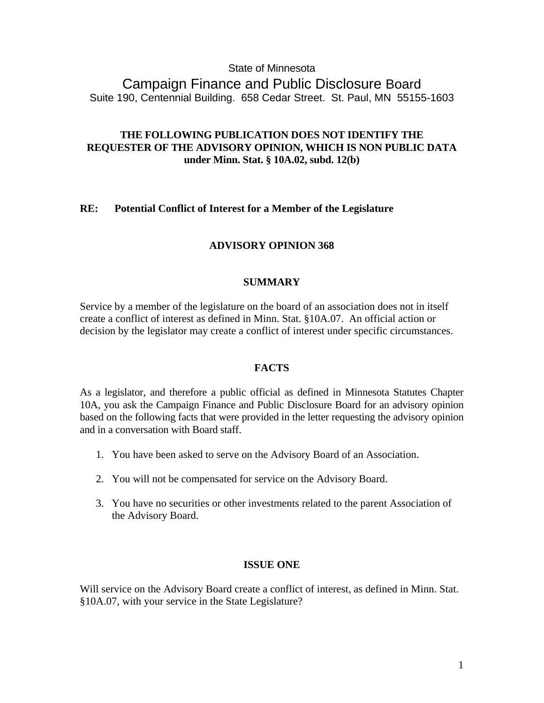# State of Minnesota

Campaign Finance and Public Disclosure Board Suite 190, Centennial Building. 658 Cedar Street. St. Paul, MN 55155-1603

# **THE FOLLOWING PUBLICATION DOES NOT IDENTIFY THE REQUESTER OF THE ADVISORY OPINION, WHICH IS NON PUBLIC DATA under Minn. Stat. § 10A.02, subd. 12(b)**

## **RE: Potential Conflict of Interest for a Member of the Legislature**

## **ADVISORY OPINION 368**

#### **SUMMARY**

Service by a member of the legislature on the board of an association does not in itself create a conflict of interest as defined in Minn. Stat. §10A.07. An official action or decision by the legislator may create a conflict of interest under specific circumstances.

#### **FACTS**

As a legislator, and therefore a public official as defined in Minnesota Statutes Chapter 10A, you ask the Campaign Finance and Public Disclosure Board for an advisory opinion based on the following facts that were provided in the letter requesting the advisory opinion and in a conversation with Board staff.

- 1. You have been asked to serve on the Advisory Board of an Association.
- 2. You will not be compensated for service on the Advisory Board.
- 3. You have no securities or other investments related to the parent Association of the Advisory Board.

#### **ISSUE ONE**

Will service on the Advisory Board create a conflict of interest, as defined in Minn. Stat. §10A.07, with your service in the State Legislature?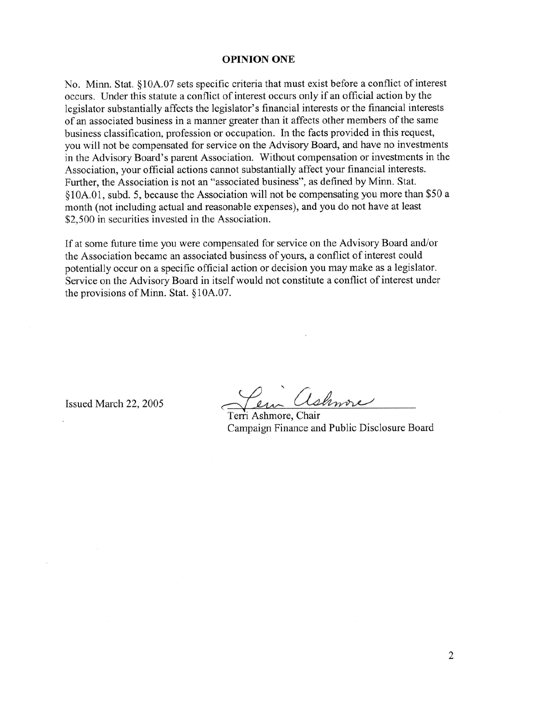## **OPINION ONE**

No. Minn. Stat. §10A.07 sets specific criteria that must exist before a conflict of interest occurs. Under this statute a conflict of interest occurs only if an official action by the legislator substantially affects the legislator's financial interests or the financial interests of an associated business in a manner greater than it affects other members of the same business classification, profession or occupation. In the facts provided in this request, you will not be compensated for service on the Advisory Board, and have no investments in the Advisory Board's parent Association. Without compensation or investments in the Association, your official actions cannot substantially affect your financial interests. Further, the Association is not an "associated business", as defined by Minn. Stat. §10A.01, subd. 5, because the Association will not be compensating you more than \$50 a month (not including actual and reasonable expenses), and you do not have at least \$2,500 in securities invested in the Association.

If at some future time you were compensated for service on the Advisory Board and/or the Association became an associated business of yours, a conflict of interest could potentially occur on a specific official action or decision you may make as a legislator. Service on the Advisory Board in itself would not constitute a conflict of interest under the provisions of Minn. Stat. §10A.07.

Issued March 22, 2005

shmore

Terri Ashmore, Chair Campaign Finance and Public Disclosure Board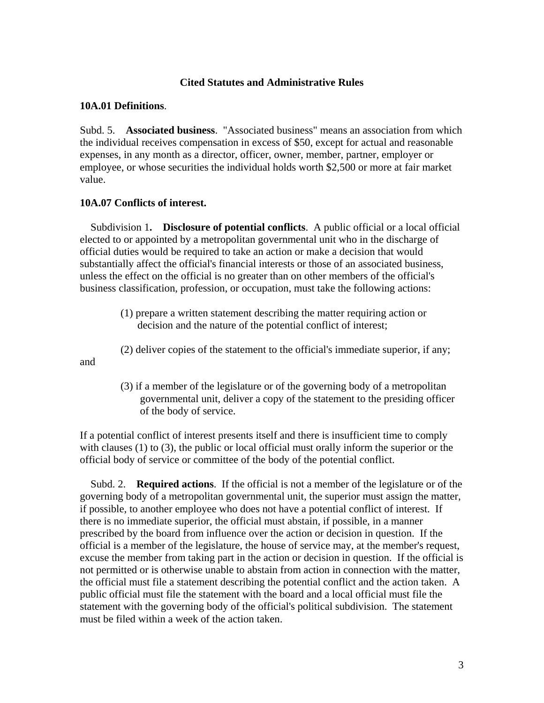## **Cited Statutes and Administrative Rules**

#### **10A.01 Definitions**.

Subd. 5. **Associated business**. "Associated business" means an association from which the individual receives compensation in excess of \$50, except for actual and reasonable expenses, in any month as a director, officer, owner, member, partner, employer or employee, or whose securities the individual holds worth \$2,500 or more at fair market value.

#### **10A.07 Conflicts of interest.**

 Subdivision 1**. Disclosure of potential conflicts**. A public official or a local official elected to or appointed by a metropolitan governmental unit who in the discharge of official duties would be required to take an action or make a decision that would substantially affect the official's financial interests or those of an associated business, unless the effect on the official is no greater than on other members of the official's business classification, profession, or occupation, must take the following actions:

- (1) prepare a written statement describing the matter requiring action or decision and the nature of the potential conflict of interest;
- (2) deliver copies of the statement to the official's immediate superior, if any;

and

 (3) if a member of the legislature or of the governing body of a metropolitan governmental unit, deliver a copy of the statement to the presiding officer of the body of service.

If a potential conflict of interest presents itself and there is insufficient time to comply with clauses (1) to (3), the public or local official must orally inform the superior or the official body of service or committee of the body of the potential conflict.

 Subd. 2. **Required actions**. If the official is not a member of the legislature or of the governing body of a metropolitan governmental unit, the superior must assign the matter, if possible, to another employee who does not have a potential conflict of interest. If there is no immediate superior, the official must abstain, if possible, in a manner prescribed by the board from influence over the action or decision in question. If the official is a member of the legislature, the house of service may, at the member's request, excuse the member from taking part in the action or decision in question. If the official is not permitted or is otherwise unable to abstain from action in connection with the matter, the official must file a statement describing the potential conflict and the action taken. A public official must file the statement with the board and a local official must file the statement with the governing body of the official's political subdivision. The statement must be filed within a week of the action taken.